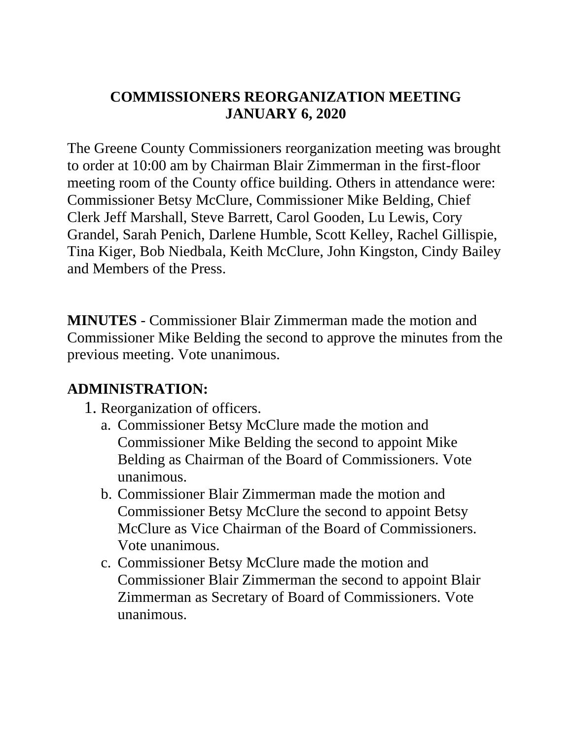## **COMMISSIONERS REORGANIZATION MEETING JANUARY 6, 2020**

The Greene County Commissioners reorganization meeting was brought to order at 10:00 am by Chairman Blair Zimmerman in the first-floor meeting room of the County office building. Others in attendance were: Commissioner Betsy McClure, Commissioner Mike Belding, Chief Clerk Jeff Marshall, Steve Barrett, Carol Gooden, Lu Lewis, Cory Grandel, Sarah Penich, Darlene Humble, Scott Kelley, Rachel Gillispie, Tina Kiger, Bob Niedbala, Keith McClure, John Kingston, Cindy Bailey and Members of the Press.

**MINUTES** - Commissioner Blair Zimmerman made the motion and Commissioner Mike Belding the second to approve the minutes from the previous meeting. Vote unanimous.

## **ADMINISTRATION:**

- 1. Reorganization of officers.
	- a. Commissioner Betsy McClure made the motion and Commissioner Mike Belding the second to appoint Mike Belding as Chairman of the Board of Commissioners. Vote unanimous.
	- b. Commissioner Blair Zimmerman made the motion and Commissioner Betsy McClure the second to appoint Betsy McClure as Vice Chairman of the Board of Commissioners. Vote unanimous.
	- c. Commissioner Betsy McClure made the motion and Commissioner Blair Zimmerman the second to appoint Blair Zimmerman as Secretary of Board of Commissioners. Vote unanimous.